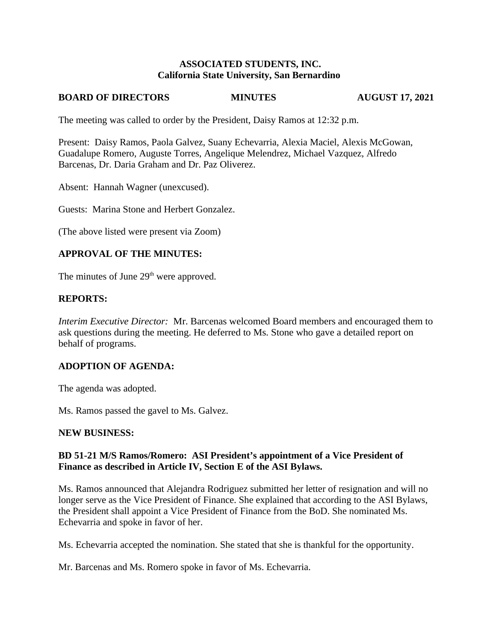#### **ASSOCIATED STUDENTS, INC. California State University, San Bernardino**

#### **BOARD OF DIRECTORS MINUTES**

**AUGUST 17, 2021** 

The meeting was called to order by the President, Daisy Ramos at 12:32 p.m.

Present: Daisy Ramos, Paola Galvez, Suany Echevarria, Alexia Maciel, Alexis McGowan, Guadalupe Romero, Auguste Torres, Angelique Melendrez, Michael Vazquez, Alfredo Barcenas, Dr. Daria Graham and Dr. Paz Oliverez.

Absent: Hannah Wagner (unexcused).

Guests: Marina Stone and Herbert Gonzalez.

(The above listed were present via Zoom)

#### **APPROVAL OF THE MINUTES:**

The minutes of June 29<sup>th</sup> were approved.

### **REPORTS:**

Interim Executive Director: Mr. Barcenas welcomed Board members and encouraged them to ask questions during the meeting. He deferred to Ms. Stone who gave a detailed report on behalf of programs.

#### **ADOPTION OF AGENDA:**

The agenda was adopted.

Ms. Ramos passed the gavel to Ms. Galvez.

#### **NEW BUSINESS:**

# BD 51-21 M/S Ramos/Romero: ASI President's appointment of a Vice President of Finance as described in Article IV, Section E of the ASI Bylaws.

Ms. Ramos announced that Alejandra Rodriguez submitted her letter of resignation and will no longer serve as the Vice President of Finance. She explained that according to the ASI Bylaws, the President shall appoint a Vice President of Finance from the BoD. She nominated Ms. Echevarria and spoke in favor of her.

Ms. Echevarria accepted the nomination. She stated that she is thankful for the opportunity.

Mr. Barcenas and Ms. Romero spoke in favor of Ms. Echevarria.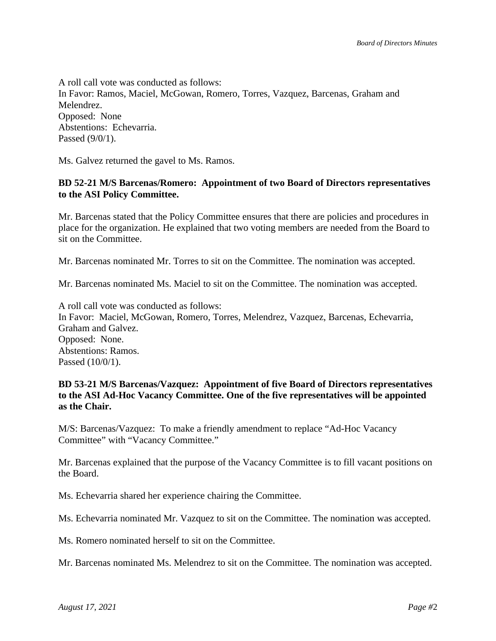A roll call vote was conducted as follows: In Favor: Ramos, Maciel, McGowan, Romero, Torres, Vazquez, Barcenas, Graham and Melendrez. Opposed: None Abstentions: Echevarria. Passed (9/0/1).

Ms. Galvez returned the gavel to Ms. Ramos.

### BD 52-21 M/S Barcenas/Romero: Appointment of two Board of Directors representatives to the ASI Policy Committee.

Mr. Barcenas stated that the Policy Committee ensures that there are policies and procedures in place for the organization. He explained that two voting members are needed from the Board to sit on the Committee.

Mr. Barcenas nominated Mr. Torres to sit on the Committee. The nomination was accepted.

Mr. Barcenas nominated Ms. Maciel to sit on the Committee. The nomination was accepted.

A roll call vote was conducted as follows: In Favor: Maciel, McGowan, Romero, Torres, Melendrez, Vazquez, Barcenas, Echevarria, Graham and Galvez. Opposed: None. Abstentions: Ramos. Passed (10/0/1).

### BD 53-21 M/S Barcenas/Vazquez: Appointment of five Board of Directors representatives to the ASI Ad-Hoc Vacancy Committee. One of the five representatives will be appointed as the Chair.

M/S: Barcenas/Vazquez: To make a friendly amendment to replace "Ad-Hoc Vacancy" Committee" with "Vacancy Committee."

Mr. Barcenas explained that the purpose of the Vacancy Committee is to fill vacant positions on the Board.

Ms. Echevarria shared her experience chairing the Committee.

Ms. Echevarria nominated Mr. Vazquez to sit on the Committee. The nomination was accepted.

Ms. Romero nominated herself to sit on the Committee.

Mr. Barcenas nominated Ms. Melendrez to sit on the Committee. The nomination was accepted.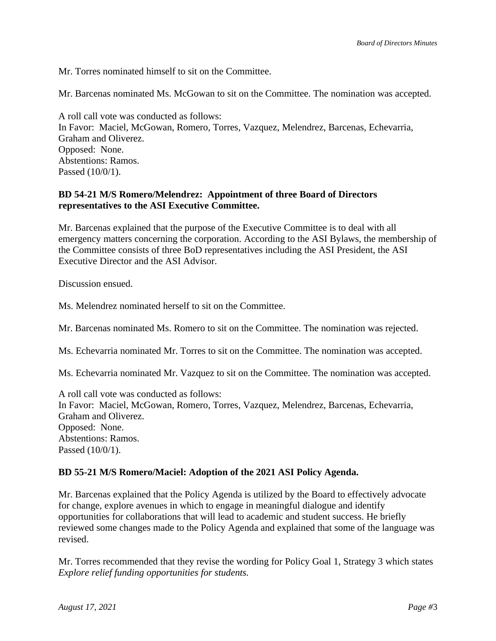Mr. Torres nominated himself to sit on the Committee.

Mr. Barcenas nominated Ms. McGowan to sit on the Committee. The nomination was accepted.

A roll call vote was conducted as follows: In Favor: Maciel, McGowan, Romero, Torres, Vazquez, Melendrez, Barcenas, Echevarria, Graham and Oliverez. Opposed: None. Abstentions: Ramos. Passed (10/0/1).

# BD 54-21 M/S Romero/Melendrez: Appointment of three Board of Directors representatives to the ASI Executive Committee.

Mr. Barcenas explained that the purpose of the Executive Committee is to deal with all emergency matters concerning the corporation. According to the ASI Bylaws, the membership of the Committee consists of three BoD representatives including the ASI President, the ASI Executive Director and the ASI Advisor.

Discussion ensued.

Ms. Melendrez nominated herself to sit on the Committee.

Mr. Barcenas nominated Ms. Romero to sit on the Committee. The nomination was rejected.

Ms. Echevarria nominated Mr. Torres to sit on the Committee. The nomination was accepted.

Ms. Echevarria nominated Mr. Vazquez to sit on the Committee. The nomination was accepted.

A roll call vote was conducted as follows: In Favor: Maciel, McGowan, Romero, Torres, Vazquez, Melendrez, Barcenas, Echevarria, Graham and Oliverez. Opposed: None. Abstentions: Ramos. Passed (10/0/1).

#### BD 55-21 M/S Romero/Maciel: Adoption of the 2021 ASI Policy Agenda.

Mr. Barcenas explained that the Policy Agenda is utilized by the Board to effectively advocate for change, explore avenues in which to engage in meaningful dialogue and identify opportunities for collaborations that will lead to academic and student success. He briefly reviewed some changes made to the Policy Agenda and explained that some of the language was revised.

Mr. Torres recommended that they revise the wording for Policy Goal 1, Strategy 3 which states Explore relief funding opportunities for students.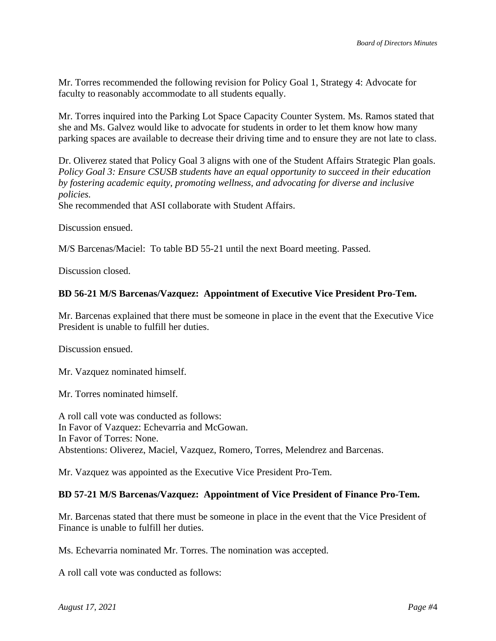Mr. Torres recommended the following revision for Policy Goal 1, Strategy 4: Advocate for faculty to reasonably accommodate to all students equally.

Mr. Torres inquired into the Parking Lot Space Capacity Counter System. Ms. Ramos stated that she and Ms. Galvez would like to advocate for students in order to let them know how many parking spaces are available to decrease their driving time and to ensure they are not late to class.

Dr. Oliverez stated that Policy Goal 3 aligns with one of the Student Affairs Strategic Plan goals. Policy Goal 3: Ensure CSUSB students have an equal opportunity to succeed in their education by fostering academic equity, promoting wellness, and advocating for diverse and inclusive policies.

She recommended that ASI collaborate with Student Affairs.

Discussion ensued.

M/S Barcenas/Maciel: To table BD 55-21 until the next Board meeting. Passed.

Discussion closed.

#### BD 56-21 M/S Barcenas/Vazquez: Appointment of Executive Vice President Pro-Tem.

Mr. Barcenas explained that there must be someone in place in the event that the Executive Vice President is unable to fulfill her duties.

Discussion ensued.

Mr. Vazquez nominated himself.

Mr. Torres nominated himself.

A roll call vote was conducted as follows: In Favor of Vazquez: Echevarria and McGowan. In Favor of Torres: None. Abstentions: Oliverez, Maciel, Vazquez, Romero, Torres, Melendrez and Barcenas.

Mr. Vazquez was appointed as the Executive Vice President Pro-Tem.

#### BD 57-21 M/S Barcenas/Vazquez: Appointment of Vice President of Finance Pro-Tem.

Mr. Barcenas stated that there must be someone in place in the event that the Vice President of Finance is unable to fulfill her duties.

Ms. Echevarria nominated Mr. Torres. The nomination was accepted.

A roll call vote was conducted as follows: